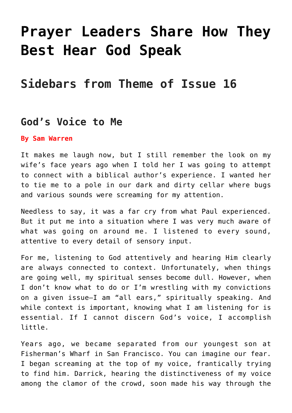# **[Prayer Leaders Share How They](https://www.prayerleader.com/prayer-leaders-share-how-they-best-hear-god-speak/) [Best Hear God Speak](https://www.prayerleader.com/prayer-leaders-share-how-they-best-hear-god-speak/)**

## **Sidebars from Theme of Issue 16**

## **God's Voice to Me**

#### **By Sam Warren**

It makes me laugh now, but I still remember the look on my wife's face years ago when I told her I was going to attempt to connect with a biblical author's experience. I wanted her to tie me to a pole in our dark and dirty cellar where bugs and various sounds were screaming for my attention.

Needless to say, it was a far cry from what Paul experienced. But it put me into a situation where I was very much aware of what was going on around me. I listened to every sound, attentive to every detail of sensory input.

For me, listening to God attentively and hearing Him clearly are always connected to context. Unfortunately, when things are going well, my spiritual senses become dull. However, when I don't know what to do or I'm wrestling with my convictions on a given issue—I am "all ears," spiritually speaking. And while context is important, knowing what I am listening for is essential. If I cannot discern God's voice, I accomplish little.

Years ago, we became separated from our youngest son at Fisherman's Wharf in San Francisco. You can imagine our fear. I began screaming at the top of my voice, frantically trying to find him. Darrick, hearing the distinctiveness of my voice among the clamor of the crowd, soon made his way through the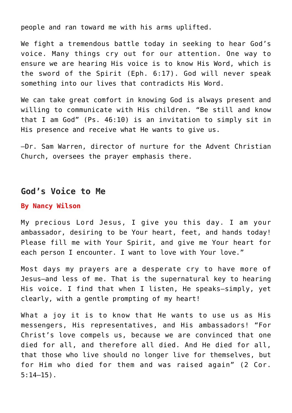people and ran toward me with his arms uplifted.

We fight a tremendous battle today in seeking to hear God's voice. Many things cry out for our attention. One way to ensure we are hearing His voice is to know His Word, which is the sword of the Spirit (Eph. 6:17). God will never speak something into our lives that contradicts His Word.

We can take great comfort in knowing God is always present and willing to communicate with His children. "Be still and know that I am God" (Ps. 46:10) is an invitation to simply sit in His presence and receive what He wants to give us.

–Dr. Sam Warren, director of nurture for the Advent Christian Church, oversees the prayer emphasis there.

## **God's Voice to Me**

#### **By Nancy Wilson**

My precious Lord Jesus, I give you this day. I am your ambassador, desiring to be Your heart, feet, and hands today! Please fill me with Your Spirit, and give me Your heart for each person I encounter. I want to love with Your love."

Most days my prayers are a desperate cry to have more of Jesus—and less of me. That is the supernatural key to hearing His voice. I find that when I listen, He speaks—simply, yet clearly, with a gentle prompting of my heart!

What a joy it is to know that He wants to use us as His messengers, His representatives, and His ambassadors! "For Christ's love compels us, because we are convinced that one died for all, and therefore all died. And He died for all, that those who live should no longer live for themselves, but for Him who died for them and was raised again" (2 Cor. 5:14–15).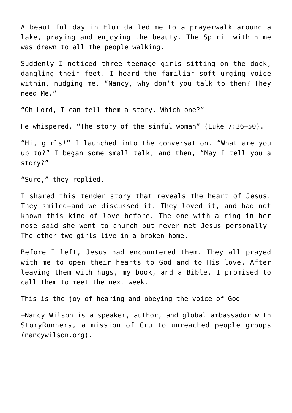A beautiful day in Florida led me to a prayerwalk around a lake, praying and enjoying the beauty. The Spirit within me was drawn to all the people walking.

Suddenly I noticed three teenage girls sitting on the dock, dangling their feet. I heard the familiar soft urging voice within, nudging me. "Nancy, why don't you talk to them? They need Me."

"Oh Lord, I can tell them a story. Which one?"

He whispered, "The story of the sinful woman" (Luke 7:36–50).

"Hi, girls!" I launched into the conversation. "What are you up to?" I began some small talk, and then, "May I tell you a story?"

"Sure," they replied.

I shared this tender story that reveals the heart of Jesus. They smiled—and we discussed it. They loved it, and had not known this kind of love before. The one with a ring in her nose said she went to church but never met Jesus personally. The other two girls live in a broken home.

Before I left, Jesus had encountered them. They all prayed with me to open their hearts to God and to His love. After leaving them with hugs, my book, and a Bible, I promised to call them to meet the next week.

This is the joy of hearing and obeying the voice of God!

–Nancy Wilson is a speaker, author, and global ambassador with StoryRunners, a mission of Cru to unreached people groups (nancywilson.org).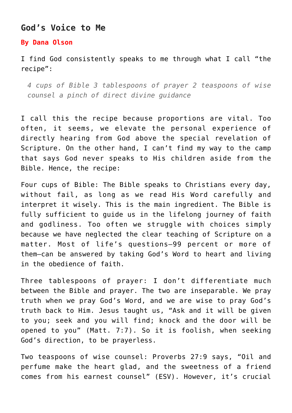## **God's Voice to Me**

#### **By Dana Olson**

I find God consistently speaks to me through what I call "the recipe":

*4 cups of Bible 3 tablespoons of prayer 2 teaspoons of wise counsel a pinch of direct divine guidance*

I call this the recipe because proportions are vital. Too often, it seems, we elevate the personal experience of directly hearing from God above the special revelation of Scripture. On the other hand, I can't find my way to the camp that says God never speaks to His children aside from the Bible. Hence, the recipe:

Four cups of Bible: The Bible speaks to Christians every day, without fail, as long as we read His Word carefully and interpret it wisely. This is the main ingredient. The Bible is fully sufficient to guide us in the lifelong journey of faith and godliness. Too often we struggle with choices simply because we have neglected the clear teaching of Scripture on a matter. Most of life's questions—99 percent or more of them—can be answered by taking God's Word to heart and living in the obedience of faith.

Three tablespoons of prayer: I don't differentiate much between the Bible and prayer. The two are inseparable. We pray truth when we pray God's Word, and we are wise to pray God's truth back to Him. Jesus taught us, "Ask and it will be given to you; seek and you will find; knock and the door will be opened to you" (Matt. 7:7). So it is foolish, when seeking God's direction, to be prayerless.

Two teaspoons of wise counsel: Proverbs 27:9 says, "Oil and perfume make the heart glad, and the sweetness of a friend comes from his earnest counsel" (ESV). However, it's crucial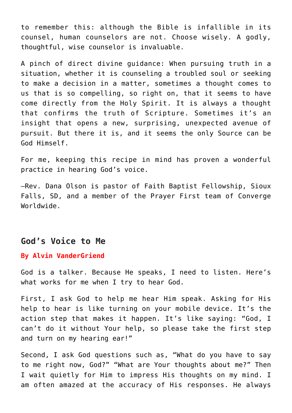to remember this: although the Bible is infallible in its counsel, human counselors are not. Choose wisely. A godly, thoughtful, wise counselor is invaluable.

A pinch of direct divine guidance: When pursuing truth in a situation, whether it is counseling a troubled soul or seeking to make a decision in a matter, sometimes a thought comes to us that is so compelling, so right on, that it seems to have come directly from the Holy Spirit. It is always a thought that confirms the truth of Scripture. Sometimes it's an insight that opens a new, surprising, unexpected avenue of pursuit. But there it is, and it seems the only Source can be God Himself.

For me, keeping this recipe in mind has proven a wonderful practice in hearing God's voice.

–Rev. Dana Olson is pastor of Faith Baptist Fellowship, Sioux Falls, SD, and a member of the Prayer First team of Converge Worldwide.

## **God's Voice to Me**

#### **By Alvin VanderGriend**

God is a talker. Because He speaks, I need to listen. Here's what works for me when I try to hear God.

First, I ask God to help me hear Him speak. Asking for His help to hear is like turning on your mobile device. It's the action step that makes it happen. It's like saying: "God, I can't do it without Your help, so please take the first step and turn on my hearing ear!"

Second, I ask God questions such as, "What do you have to say to me right now, God?" "What are Your thoughts about me?" Then I wait quietly for Him to impress His thoughts on my mind. I am often amazed at the accuracy of His responses. He always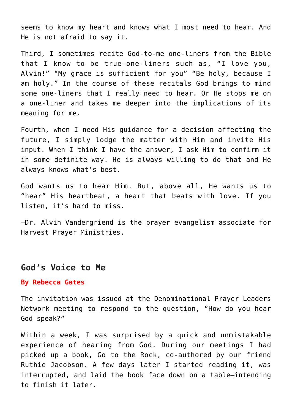seems to know my heart and knows what I most need to hear. And He is not afraid to say it.

Third, I sometimes recite God-to-me one-liners from the Bible that I know to be true—one-liners such as, "I love you, Alvin!" "My grace is sufficient for you" "Be holy, because I am holy." In the course of these recitals God brings to mind some one-liners that I really need to hear. Or He stops me on a one-liner and takes me deeper into the implications of its meaning for me.

Fourth, when I need His guidance for a decision affecting the future, I simply lodge the matter with Him and invite His input. When I think I have the answer, I ask Him to confirm it in some definite way. He is always willing to do that and He always knows what's best.

God wants us to hear Him. But, above all, He wants us to "hear" His heartbeat, a heart that beats with love. If you listen, it's hard to miss.

–Dr. Alvin Vandergriend is the prayer evangelism associate for Harvest Prayer Ministries.

### **God's Voice to Me**

#### **By Rebecca Gates**

The invitation was issued at the Denominational Prayer Leaders Network meeting to respond to the question, "How do you hear God speak?"

Within a week, I was surprised by a quick and unmistakable experience of hearing from God. During our meetings I had picked up a book, Go to the Rock, co-authored by our friend Ruthie Jacobson. A few days later I started reading it, was interrupted, and laid the book face down on a table—intending to finish it later.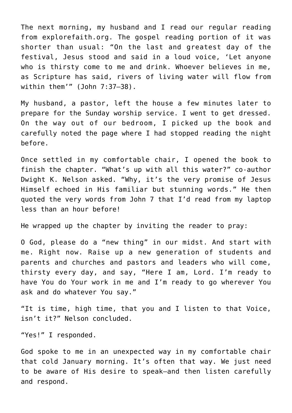The next morning, my husband and I read our regular reading from explorefaith.org. The gospel reading portion of it was shorter than usual: "On the last and greatest day of the festival, Jesus stood and said in a loud voice, 'Let anyone who is thirsty come to me and drink. Whoever believes in me, as Scripture has said, rivers of living water will flow from within them'" (John 7:37–38).

My husband, a pastor, left the house a few minutes later to prepare for the Sunday worship service. I went to get dressed. On the way out of our bedroom, I picked up the book and carefully noted the page where I had stopped reading the night before.

Once settled in my comfortable chair, I opened the book to finish the chapter. "What's up with all this water?" co-author Dwight K. Nelson asked. "Why, it's the very promise of Jesus Himself echoed in His familiar but stunning words." He then quoted the very words from John 7 that I'd read from my laptop less than an hour before!

He wrapped up the chapter by inviting the reader to pray:

O God, please do a "new thing" in our midst. And start with me. Right now. Raise up a new generation of students and parents and churches and pastors and leaders who will come, thirsty every day, and say, "Here I am, Lord. I'm ready to have You do Your work in me and I'm ready to go wherever You ask and do whatever You say."

"It is time, high time, that you and I listen to that Voice, isn't it?" Nelson concluded.

"Yes!" I responded.

God spoke to me in an unexpected way in my comfortable chair that cold January morning. It's often that way. We just need to be aware of His desire to speak—and then listen carefully and respond.